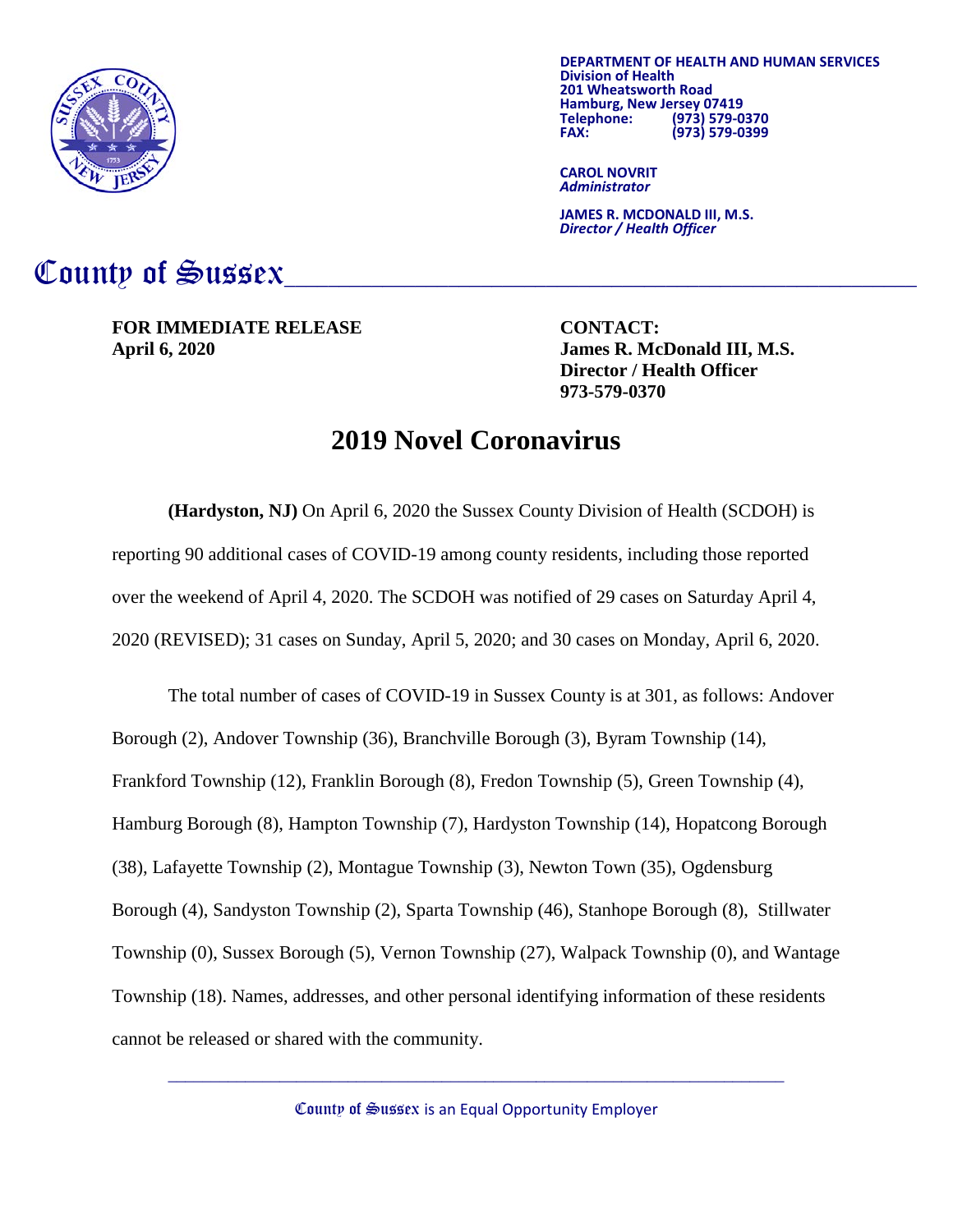

**DEPARTMENT OF HEALTH AND HUMAN SERVICES Division of Health 201 Hamburg, New Jersey 07419<br>Telephone: (973) 579-0 Telephone: (973) 579-0370 FAX: (973) 579-0399**

**CAROL NOVRIT** *Administrator*

**JAMES R. MCDONALD III, M.S.** *Director / Health Officer*

## County of Sussex

**FOR IMMEDIATE RELEASE CONTACT: April 6, 2020 James R. McDonald III, M.S.**

**Director / Health Officer 973-579-0370**

## **2019 Novel Coronavirus**

**(Hardyston, NJ)** On April 6, 2020 the Sussex County Division of Health (SCDOH) is reporting 90 additional cases of COVID-19 among county residents, including those reported over the weekend of April 4, 2020. The SCDOH was notified of 29 cases on Saturday April 4, 2020 (REVISED); 31 cases on Sunday, April 5, 2020; and 30 cases on Monday, April 6, 2020.

The total number of cases of COVID-19 in Sussex County is at 301, as follows: Andover Borough (2), Andover Township (36), Branchville Borough (3), Byram Township (14), Frankford Township (12), Franklin Borough (8), Fredon Township (5), Green Township (4), Hamburg Borough (8), Hampton Township (7), Hardyston Township (14), Hopatcong Borough (38), Lafayette Township (2), Montague Township (3), Newton Town (35), Ogdensburg Borough (4), Sandyston Township (2), Sparta Township (46), Stanhope Borough (8), Stillwater Township (0), Sussex Borough (5), Vernon Township (27), Walpack Township (0), and Wantage Township (18). Names, addresses, and other personal identifying information of these residents cannot be released or shared with the community.

County of Sussex is an Equal Opportunity Employer

 $\_$  , and the set of the set of the set of the set of the set of the set of the set of the set of the set of the set of the set of the set of the set of the set of the set of the set of the set of the set of the set of th